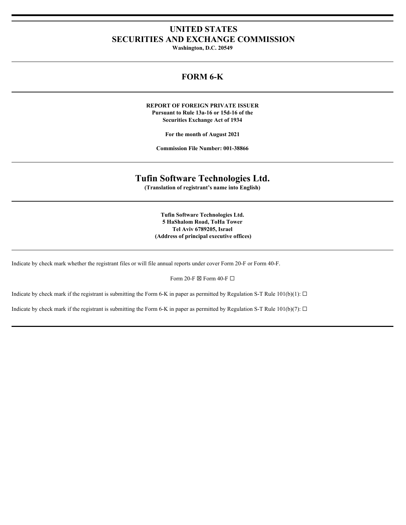# **UNITED STATES SECURITIES AND EXCHANGE COMMISSION**

**Washington, D.C. 20549**

## **FORM 6-K**

#### **REPORT OF FOREIGN PRIVATE ISSUER Pursuant to Rule 13a-16 or 15d-16 of the Securities Exchange Act of 1934**

**For the month of August 2021**

**Commission File Number: 001-38866**

# **Tufin Software Technologies Ltd.**

**(Translation of registrant's name into English)**

**Tufin Software Technologies Ltd. 5 HaShalom Road, ToHa Tower Tel Aviv 6789205, Israel (Address of principal executive offices)**

Indicate by check mark whether the registrant files or will file annual reports under cover Form 20-F or Form 40-F.

Form 20-F  $\boxtimes$  Form 40-F  $\Box$ 

Indicate by check mark if the registrant is submitting the Form 6-K in paper as permitted by Regulation S-T Rule 101(b)(1):  $\Box$ 

Indicate by check mark if the registrant is submitting the Form 6-K in paper as permitted by Regulation S-T Rule 101(b)(7):  $\Box$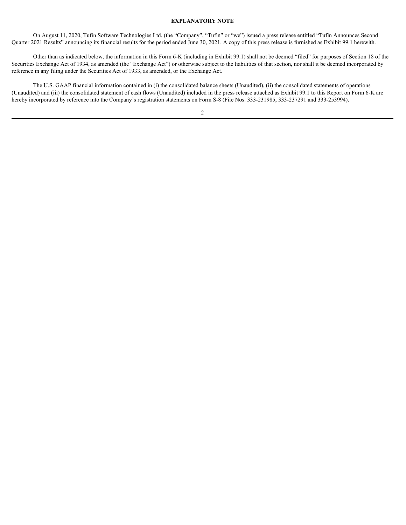#### **EXPLANATORY NOTE**

On August 11, 2020, Tufin Software Technologies Ltd. (the "Company", "Tufin" or "we") issued a press release entitled "Tufin Announces Second Quarter 2021 Results" announcing its financial results for the period ended June 30, 2021. A copy of this press release is furnished as Exhibit 99.1 herewith.

Other than as indicated below, the information in this Form 6-K (including in Exhibit 99.1) shall not be deemed "filed" for purposes of Section 18 of the Securities Exchange Act of 1934, as amended (the "Exchange Act") or otherwise subject to the liabilities of that section, nor shall it be deemed incorporated by reference in any filing under the Securities Act of 1933, as amended, or the Exchange Act.

The U.S. GAAP financial information contained in (i) the consolidated balance sheets (Unaudited), (ii) the consolidated statements of operations (Unaudited) and (iii) the consolidated statement of cash flows (Unaudited) included in the press release attached as Exhibit 99.1 to this Report on Form 6-K are hereby incorporated by reference into the Company's registration statements on Form S-8 (File Nos. 333-231985, 333-237291 and 333-253994).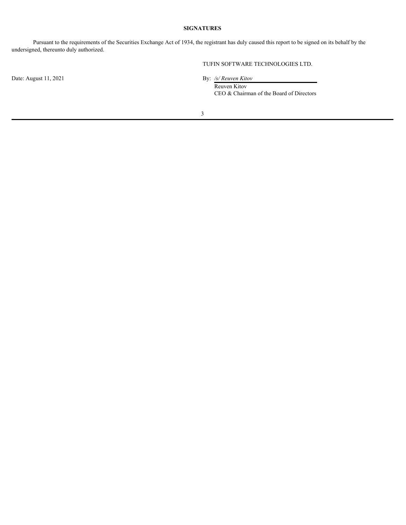#### **SIGNATURES**

Pursuant to the requirements of the Securities Exchange Act of 1934, the registrant has duly caused this report to be signed on its behalf by the undersigned, thereunto duly authorized.

Date: August 11, 2021 By: /s/ Reuven Kitov

TUFIN SOFTWARE TECHNOLOGIES LTD.

Reuven Kitov CEO & Chairman of the Board of Directors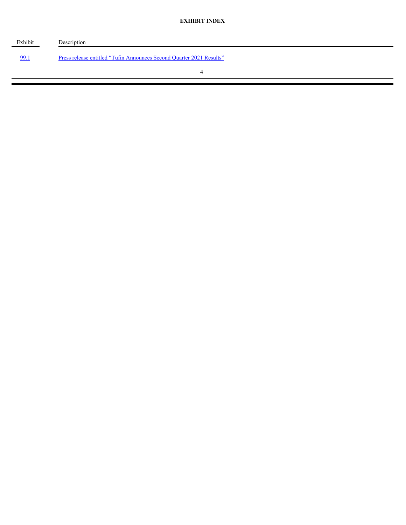| Exhibit | Description                                                          |
|---------|----------------------------------------------------------------------|
| 99.     | Press release entitled "Tufin Announces Second Quarter 2021 Results" |
|         |                                                                      |

j.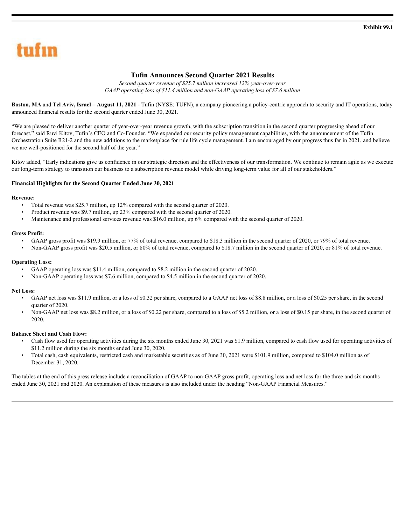# <span id="page-4-0"></span>tufin

## **Tufin Announces Second Quarter 2021 Results**

*Second quarter revenue of \$25.7 million increased 12% year-over-year GAAP operating loss of \$11.4 million and non-GAAP operating loss of \$7.6 million*

**Boston, MA** and **Tel Aviv, Israel – August 11, 2021** - Tufin (NYSE: TUFN), a company pioneering a policy-centric approach to security and IT operations, today announced financial results for the second quarter ended June 30, 2021.

"We are pleased to deliver another quarter of year-over-year revenue growth, with the subscription transition in the second quarter progressing ahead of our forecast," said Ruvi Kitov, Tufin's CEO and Co-Founder. "We expanded our security policy management capabilities, with the announcement of the Tufin Orchestration Suite R21-2 and the new additions to the marketplace for rule life cycle management. I am encouraged by our progress thus far in 2021, and believe we are well-positioned for the second half of the year."

Kitov added, "Early indications give us confidence in our strategic direction and the effectiveness of our transformation. We continue to remain agile as we execute our long-term strategy to transition our business to a subscription revenue model while driving long-term value for all of our stakeholders."

#### **Financial Highlights for the Second Quarter Ended June 30, 2021**

#### **Revenue:**

- Total revenue was \$25.7 million, up 12% compared with the second quarter of 2020.
- Product revenue was \$9.7 million, up 23% compared with the second quarter of 2020.
- Maintenance and professional services revenue was \$16.0 million, up 6% compared with the second quarter of 2020.

#### **Gross Profit:**

- GAAP gross profit was \$19.9 million, or 77% of total revenue, compared to \$18.3 million in the second quarter of 2020, or 79% of total revenue.
- Non-GAAP gross profit was \$20.5 million, or 80% of total revenue, compared to \$18.7 million in the second quarter of 2020, or 81% of total revenue.

#### **Operating Loss:**

- GAAP operating loss was \$11.4 million, compared to \$8.2 million in the second quarter of 2020.
- Non-GAAP operating loss was \$7.6 million, compared to \$4.5 million in the second quarter of 2020.

#### **Net Loss:**

- GAAP net loss was \$11.9 million, or a loss of \$0.32 per share, compared to a GAAP net loss of \$8.8 million, or a loss of \$0.25 per share, in the second quarter of 2020.
- Non-GAAP net loss was \$8.2 million, or a loss of \$0.22 per share, compared to a loss of \$5.2 million, or a loss of \$0.15 per share, in the second quarter of 2020.

#### **Balance Sheet and Cash Flow:**

- Cash flow used for operating activities during the six months ended June 30, 2021 was \$1.9 million, compared to cash flow used for operating activities of \$11.2 million during the six months ended June 30, 2020.
- Total cash, cash equivalents, restricted cash and marketable securities as of June 30, 2021 were \$101.9 million, compared to \$104.0 million as of December 31, 2020.

The tables at the end of this press release include a reconciliation of GAAP to non-GAAP gross profit, operating loss and net loss for the three and six months ended June 30, 2021 and 2020. An explanation of these measures is also included under the heading "Non-GAAP Financial Measures."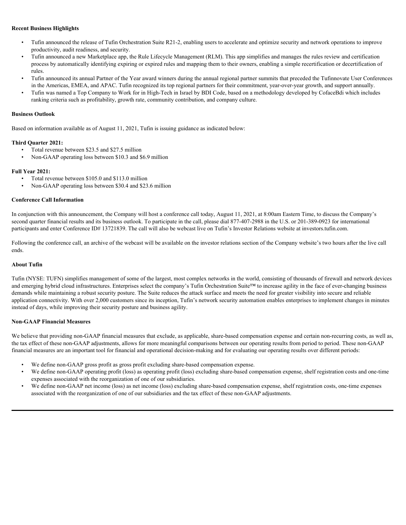#### **Recent Business Highlights**

- Tufin announced the release of Tufin Orchestration Suite R21-2, enabling users to accelerate and optimize security and network operations to improve productivity, audit readiness, and security.
- Tufin announced a new Marketplace app, the Rule Lifecycle Management (RLM). This app simplifies and manages the rules review and certification process by automatically identifying expiring or expired rules and mapping them to their owners, enabling a simple recertification or decertification of rules.
- Tufin announced its annual Partner of the Year award winners during the annual regional partner summits that preceded the Tufinnovate User Conferences in the Americas, EMEA, and APAC. Tufin recognized its top regional partners for their commitment, year-over-year growth, and support annually.
- Tufin was named a Top Company to Work for in High-Tech in Israel by BDI Code, based on a methodology developed by CofaceBdi which includes ranking criteria such as profitability, growth rate, community contribution, and company culture.

#### **Business Outlook**

Based on information available as of August 11, 2021, Tufin is issuing guidance as indicated below:

#### **Third Quarter 2021:**

- Total revenue between \$23.5 and \$27.5 million
- Non-GAAP operating loss between \$10.3 and \$6.9 million

#### **Full Year 2021:**

- Total revenue between \$105.0 and \$113.0 million
- Non-GAAP operating loss between \$30.4 and \$23.6 million

#### **Conference Call Information**

In conjunction with this announcement, the Company will host a conference call today, August 11, 2021, at 8:00am Eastern Time, to discuss the Company's second quarter financial results and its business outlook. To participate in the call, please dial 877-407-2988 in the U.S. or 201-389-0923 for international participants and enter Conference ID# 13721839. The call will also be webcast live on Tufin's Investor Relations website at investors.tufin.com.

Following the conference call, an archive of the webcast will be available on the investor relations section of the Company website's two hours after the live call ends.

#### **About Tufin**

Tufin (NYSE: TUFN) simplifies management of some of the largest, most complex networks in the world, consisting of thousands of firewall and network devices and emerging hybrid cloud infrastructures. Enterprises select the company's Tufin Orchestration Suite™ to increase agility in the face of ever-changing business demands while maintaining a robust security posture. The Suite reduces the attack surface and meets the need for greater visibility into secure and reliable application connectivity. With over 2,000 customers since its inception, Tufin's network security automation enables enterprises to implement changes in minutes instead of days, while improving their security posture and business agility.

#### **Non-GAAP Financial Measures**

We believe that providing non-GAAP financial measures that exclude, as applicable, share-based compensation expense and certain non-recurring costs, as well as, the tax effect of these non-GAAP adjustments, allows for more meaningful comparisons between our operating results from period to period. These non-GAAP financial measures are an important tool for financial and operational decision-making and for evaluating our operating results over different periods:

- We define non-GAAP gross profit as gross profit excluding share-based compensation expense.
- We define non-GAAP operating profit (loss) as operating profit (loss) excluding share-based compensation expense, shelf registration costs and one-time expenses associated with the reorganization of one of our subsidiaries.
- We define non-GAAP net income (loss) as net income (loss) excluding share-based compensation expense, shelf registration costs, one-time expenses associated with the reorganization of one of our subsidiaries and the tax effect of these non-GAAP adjustments.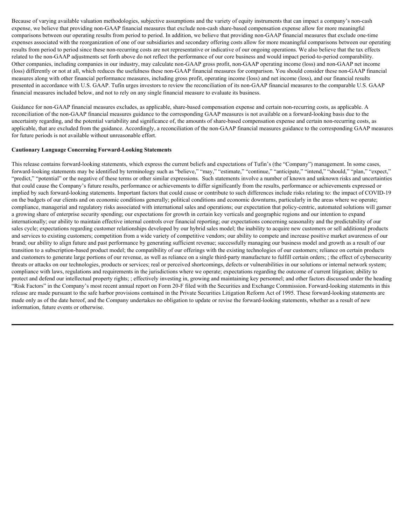Because of varying available valuation methodologies, subjective assumptions and the variety of equity instruments that can impact a company's non-cash expense, we believe that providing non-GAAP financial measures that exclude non-cash share-based compensation expense allow for more meaningful comparisons between our operating results from period to period. In addition, we believe that providing non-GAAP financial measures that exclude one-time expenses associated with the reorganization of one of our subsidiaries and secondary offering costs allow for more meaningful comparisons between our operating results from period to period since these non-recurring costs are not representative or indicative of our ongoing operations. We also believe that the tax effects related to the non-GAAP adjustments set forth above do not reflect the performance of our core business and would impact period-to-period comparability. Other companies, including companies in our industry, may calculate non-GAAP gross profit, non-GAAP operating income (loss) and non-GAAP net income (loss) differently or not at all, which reduces the usefulness these non-GAAP financial measures for comparison. You should consider these non-GAAP financial measures along with other financial performance measures, including gross profit, operating income (loss) and net income (loss), and our financial results presented in accordance with U.S. GAAP. Tufin urges investors to review the reconciliation of its non-GAAP financial measures to the comparable U.S. GAAP financial measures included below, and not to rely on any single financial measure to evaluate its business.

Guidance for non-GAAP financial measures excludes, as applicable, share-based compensation expense and certain non-recurring costs, as applicable. A reconciliation of the non-GAAP financial measures guidance to the corresponding GAAP measures is not available on a forward-looking basis due to the uncertainty regarding, and the potential variability and significance of, the amounts of share-based compensation expense and certain non-recurring costs, as applicable, that are excluded from the guidance. Accordingly, a reconciliation of the non-GAAP financial measures guidance to the corresponding GAAP measures for future periods is not available without unreasonable effort.

#### **Cautionary Language Concerning Forward-Looking Statements**

This release contains forward-looking statements, which express the current beliefs and expectations of Tufin's (the "Company") management. In some cases, forward-looking statements may be identified by terminology such as "believe," "may," "estimate," "continue," "anticipate," "intend," "should," "plan," "expect," "predict," "potential" or the negative of these terms or other similar expressions. Such statements involve a number of known and unknown risks and uncertainties that could cause the Company's future results, performance or achievements to differ significantly from the results, performance or achievements expressed or implied by such forward-looking statements. Important factors that could cause or contribute to such differences include risks relating to: the impact of COVID-19 on the budgets of our clients and on economic conditions generally; political conditions and economic downturns, particularly in the areas where we operate; compliance, managerial and regulatory risks associated with international sales and operations; our expectation that policy-centric, automated solutions will garner a growing share of enterprise security spending; our expectations for growth in certain key verticals and geographic regions and our intention to expand internationally; our ability to maintain effective internal controls over financial reporting; our expectations concerning seasonality and the predictability of our sales cycle; expectations regarding customer relationships developed by our hybrid sales model; the inability to acquire new customers or sell additional products and services to existing customers; competition from a wide variety of competitive vendors; our ability to compete and increase positive market awareness of our brand; our ability to align future and past performance by generating sufficient revenue; successfully managing our business model and growth as a result of our transition to a subscription-based product model; the compatibility of our offerings with the existing technologies of our customers; reliance on certain products and customers to generate large portions of our revenue, as well as reliance on a single third-party manufacture to fulfill certain orders; ; the effect of cybersecurity threats or attacks on our technologies, products or services; real or perceived shortcomings, defects or vulnerabilities in our solutions or internal network system; compliance with laws, regulations and requirements in the jurisdictions where we operate; expectations regarding the outcome of current litigation; ability to protect and defend our intellectual property rights; ; effectively investing in, growing and maintaining key personnel; and other factors discussed under the heading "Risk Factors" in the Company's most recent annual report on Form 20-F filed with the Securities and Exchange Commission. Forward-looking statements in this release are made pursuant to the safe harbor provisions contained in the Private Securities Litigation Reform Act of 1995. These forward-looking statements are made only as of the date hereof, and the Company undertakes no obligation to update or revise the forward-looking statements, whether as a result of new information, future events or otherwise.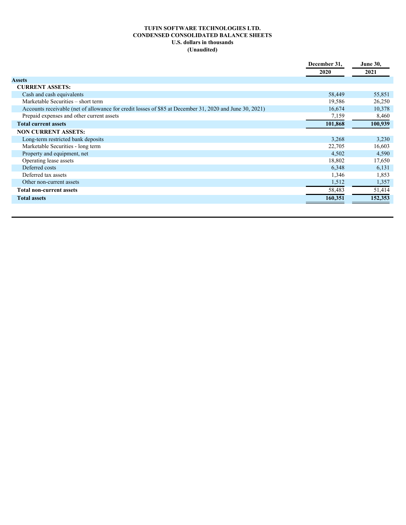#### **TUFIN SOFTWARE TECHNOLOGIES LTD. CONDENSED CONSOLIDATED BALANCE SHEETS U.S. dollars in thousands (Unaudited)**

|                                                                                                         | December 31, | <b>June 30,</b> |  |
|---------------------------------------------------------------------------------------------------------|--------------|-----------------|--|
|                                                                                                         | 2020         | 2021            |  |
| <b>Assets</b>                                                                                           |              |                 |  |
| <b>CURRENT ASSETS:</b>                                                                                  |              |                 |  |
| Cash and cash equivalents                                                                               | 58,449       | 55,851          |  |
| Marketable Securities – short term                                                                      | 19,586       | 26,250          |  |
| Accounts receivable (net of allowance for credit losses of \$85 at December 31, 2020 and June 30, 2021) | 16,674       | 10,378          |  |
| Prepaid expenses and other current assets                                                               | 7,159        | 8,460           |  |
| <b>Total current assets</b>                                                                             | 101,868      | 100,939         |  |
| <b>NON CURRENT ASSETS:</b>                                                                              |              |                 |  |
| Long-term restricted bank deposits                                                                      | 3,268        | 3,230           |  |
| Marketable Securities - long term                                                                       | 22,705       | 16,603          |  |
| Property and equipment, net                                                                             | 4,502        | 4,590           |  |
| Operating lease assets                                                                                  | 18,802       | 17,650          |  |
| Deferred costs                                                                                          | 6,348        | 6,131           |  |
| Deferred tax assets                                                                                     | 1,346        | 1,853           |  |
| Other non-current assets                                                                                | 1,512        | 1,357           |  |
| <b>Total non-current assets</b>                                                                         | 58,483       | 51,414          |  |
| <b>Total assets</b>                                                                                     | 160,351      | 152,353         |  |
|                                                                                                         |              |                 |  |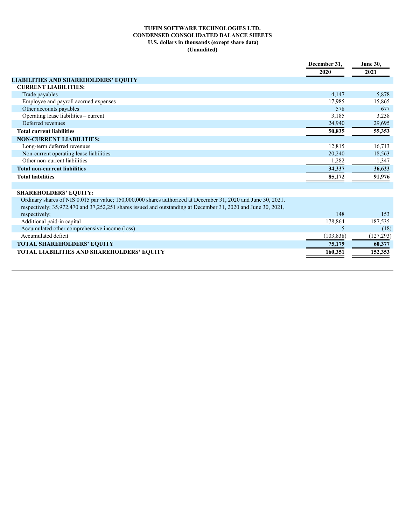#### **TUFIN SOFTWARE TECHNOLOGIES LTD. CONDENSED CONSOLIDATED BALANCE SHEETS U.S. dollars in thousands (except share data) (Unaudited)**

|                                                                                                                                                                                                                                | December 31, | <b>June 30,</b> |
|--------------------------------------------------------------------------------------------------------------------------------------------------------------------------------------------------------------------------------|--------------|-----------------|
|                                                                                                                                                                                                                                | 2020         | 2021            |
| <b>LIABILITIES AND SHAREHOLDERS' EQUITY</b>                                                                                                                                                                                    |              |                 |
| <b>CURRENT LIABILITIES:</b>                                                                                                                                                                                                    |              |                 |
| Trade payables                                                                                                                                                                                                                 | 4,147        | 5,878           |
| Employee and payroll accrued expenses                                                                                                                                                                                          | 17,985       | 15,865          |
| Other accounts payables                                                                                                                                                                                                        | 578          | 677             |
| Operating lease liabilities - current                                                                                                                                                                                          | 3,185        | 3,238           |
| Deferred revenues                                                                                                                                                                                                              | 24,940       | 29,695          |
| <b>Total current liabilities</b>                                                                                                                                                                                               | 50,835       | 55,353          |
| <b>NON-CURRENT LIABILITIES:</b>                                                                                                                                                                                                |              |                 |
| Long-term deferred revenues                                                                                                                                                                                                    | 12,815       | 16,713          |
| Non-current operating lease liabilities                                                                                                                                                                                        | 20,240       | 18,563          |
| Other non-current liabilities                                                                                                                                                                                                  | 1,282        | 1,347           |
| <b>Total non-current liabilities</b>                                                                                                                                                                                           | 34,337       | 36,623          |
| <b>Total liabilities</b>                                                                                                                                                                                                       | 85,172       | 91,976          |
|                                                                                                                                                                                                                                |              |                 |
| <b>SHAREHOLDERS' EQUITY:</b>                                                                                                                                                                                                   |              |                 |
| Ordinary shares of NIS 0.015 par value; 150,000,000 shares authorized at December 31, 2020 and June 30, 2021,<br>respectively; 35,972,470 and 37,252,251 shares issued and outstanding at December 31, 2020 and June 30, 2021, |              |                 |
| respectively;                                                                                                                                                                                                                  | 148          | 153             |
| Additional paid-in capital                                                                                                                                                                                                     | 178,864      | 187,535         |
| Accumulated other comprehensive income (loss)                                                                                                                                                                                  | 5            | (18)            |
| Accumulated deficit                                                                                                                                                                                                            | (103, 838)   | (127, 293)      |
| <b>TOTAL SHAREHOLDERS' EQUITY</b>                                                                                                                                                                                              | 75,179       | 60,377          |
| <b>TOTAL LIABILITIES AND SHAREHOLDERS' EQUITY</b>                                                                                                                                                                              | 160,351      | 152,353         |
|                                                                                                                                                                                                                                |              |                 |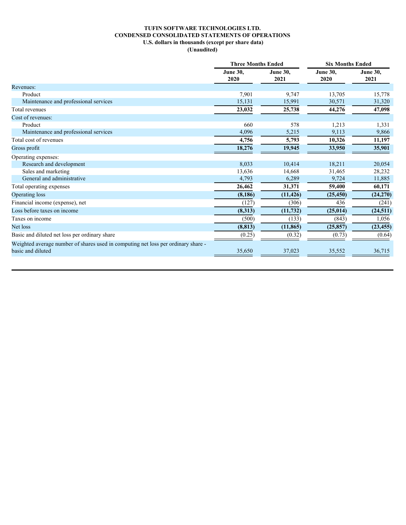#### **TUFIN SOFTWARE TECHNOLOGIES LTD. CONDENSED CONSOLIDATED STATEMENTS OF OPERATIONS U.S. dollars in thousands (except per share data) (Unaudited)**

|                                                                                   | <b>Three Months Ended</b> |                         | <b>Six Months Ended</b> |                         |
|-----------------------------------------------------------------------------------|---------------------------|-------------------------|-------------------------|-------------------------|
|                                                                                   | <b>June 30,</b><br>2020   | <b>June 30,</b><br>2021 | <b>June 30,</b><br>2020 | <b>June 30,</b><br>2021 |
| Revenues:                                                                         |                           |                         |                         |                         |
| Product                                                                           | 7,901                     | 9,747                   | 13,705                  | 15,778                  |
| Maintenance and professional services                                             | 15,131                    | 15,991                  | 30,571                  | 31,320                  |
| Total revenues                                                                    | 23,032                    | 25,738                  | 44,276                  | 47,098                  |
| Cost of revenues:                                                                 |                           |                         |                         |                         |
| Product                                                                           | 660                       | 578                     | 1,213                   | 1,331                   |
| Maintenance and professional services                                             | 4,096                     | 5,215                   | 9,113                   | 9,866                   |
| Total cost of revenues                                                            | 4,756                     | 5,793                   | 10,326                  | 11,197                  |
| Gross profit                                                                      | 18,276                    | 19,945                  | 33,950                  | 35,901                  |
| Operating expenses:                                                               |                           |                         |                         |                         |
| Research and development                                                          | 8,033                     | 10,414                  | 18,211                  | 20,054                  |
| Sales and marketing                                                               | 13,636                    | 14,668                  | 31,465                  | 28,232                  |
| General and administrative                                                        | 4,793                     | 6,289                   | 9,724                   | 11,885                  |
| Total operating expenses                                                          | 26,462                    | 31,371                  | 59,400                  | 60,171                  |
| Operating loss                                                                    | (8, 186)                  | (11, 426)               | (25, 450)               | (24,270)                |
| Financial income (expense), net                                                   | (127)                     | (306)                   | 436                     | (241)                   |
| Loss before taxes on income                                                       | (8,313)                   | (11, 732)               | (25, 014)               | (24, 511)               |
| Taxes on income                                                                   | (500)                     | (133)                   | (843)                   | 1,056                   |
| Net loss                                                                          | (8, 813)                  | (11, 865)               | (25, 857)               | (23, 455)               |
| Basic and diluted net loss per ordinary share                                     | (0.25)                    | (0.32)                  | (0.73)                  | (0.64)                  |
| Weighted average number of shares used in computing net loss per ordinary share - |                           |                         |                         |                         |
| basic and diluted                                                                 | 35,650                    | 37,023                  | 35,552                  | 36,715                  |
|                                                                                   |                           |                         |                         |                         |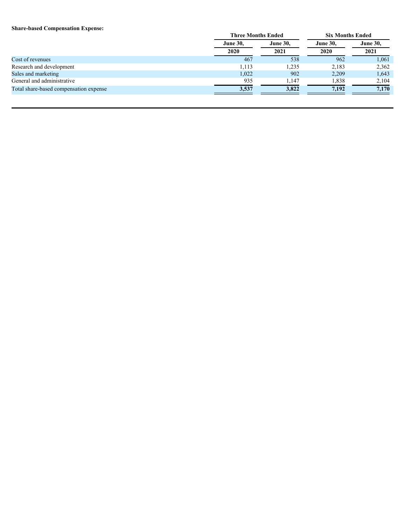## **Share-based Compensation Expense:**

|                                        |                 | <b>Three Months Ended</b> |                         | <b>Six Months Ended</b> |  |
|----------------------------------------|-----------------|---------------------------|-------------------------|-------------------------|--|
|                                        | <b>June 30,</b> | <b>June 30,</b><br>2021   | <b>June 30,</b><br>2020 | <b>June 30,</b><br>2021 |  |
|                                        | 2020            |                           |                         |                         |  |
| Cost of revenues                       | 467             | 538                       | 962                     | 1,061                   |  |
| Research and development               | 1,113           | 1,235                     | 2,183                   | 2,362                   |  |
| Sales and marketing                    | 1,022           | 902                       | 2,209                   | 1,643                   |  |
| General and administrative             | 935             | . 147                     | 1,838                   | 2,104                   |  |
| Total share-based compensation expense | 3,537           | 3,822                     | 7,192                   | 7,170                   |  |
|                                        |                 |                           |                         |                         |  |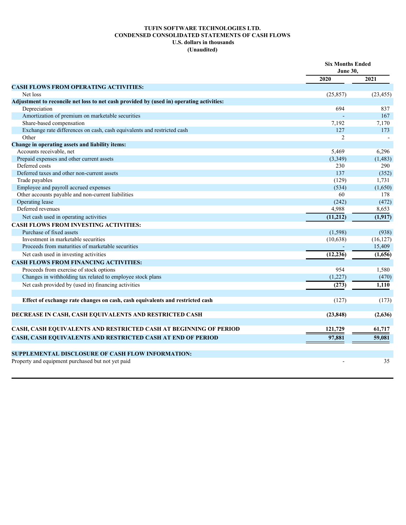## **TUFIN SOFTWARE TECHNOLOGIES LTD. CONDENSED CONSOLIDATED STATEMENTS OF CASH FLOWS U.S. dollars in thousands**

**(Unaudited)**

|                                                                                          | <b>Six Months Ended</b><br>June 30, |           |
|------------------------------------------------------------------------------------------|-------------------------------------|-----------|
|                                                                                          | 2020                                | 2021      |
| <b>CASH FLOWS FROM OPERATING ACTIVITIES:</b>                                             |                                     |           |
| Net loss                                                                                 | (25, 857)                           | (23, 455) |
| Adjustment to reconcile net loss to net cash provided by (used in) operating activities: |                                     |           |
| Depreciation                                                                             | 694                                 | 837       |
| Amortization of premium on marketable securities                                         |                                     | 167       |
| Share-based compensation                                                                 | 7,192                               | 7,170     |
| Exchange rate differences on cash, cash equivalents and restricted cash                  | 127                                 | 173       |
| Other                                                                                    | $\overline{2}$                      |           |
| Change in operating assets and liability items:                                          |                                     |           |
| Accounts receivable, net                                                                 | 5,469                               | 6,296     |
| Prepaid expenses and other current assets                                                | (3, 349)                            | (1, 483)  |
| Deferred costs                                                                           | 230                                 | 290       |
| Deferred taxes and other non-current assets                                              | 137                                 | (352)     |
| Trade payables                                                                           | (129)                               | 1,731     |
| Employee and payroll accrued expenses                                                    | (534)                               | (1,650)   |
| Other accounts payable and non-current liabilities                                       | 60                                  | 178       |
| Operating lease                                                                          | (242)                               | (472)     |
| Deferred revenues                                                                        | 4,988                               | 8,653     |
| Net cash used in operating activities                                                    | (11, 212)                           | (1, 917)  |
| <b>CASH FLOWS FROM INVESTING ACTIVITIES:</b>                                             |                                     |           |
| Purchase of fixed assets                                                                 | (1, 598)                            | (938)     |
| Investment in marketable securities                                                      | (10,638)                            | (16, 127) |
| Proceeds from maturities of marketable securities                                        |                                     | 15,409    |
| Net cash used in investing activities                                                    | (12, 236)                           | (1,656)   |
| <b>CASH FLOWS FROM FINANCING ACTIVITIES:</b>                                             |                                     |           |
| Proceeds from exercise of stock options                                                  | 954                                 | 1,580     |
| Changes in withholding tax related to employee stock plans                               | (1,227)                             | (470)     |
| Net cash provided by (used in) financing activities                                      | (273)                               | 1,110     |
|                                                                                          |                                     |           |
| Effect of exchange rate changes on cash, cash equivalents and restricted cash            | (127)                               | (173)     |
| DECREASE IN CASH, CASH EQUIVALENTS AND RESTRICTED CASH                                   | (23, 848)                           | (2,636)   |
| CASH, CASH EQUIVALENTS AND RESTRICTED CASH AT BEGINNING OF PERIOD                        | 121,729                             | 61,717    |
|                                                                                          |                                     |           |
| CASH, CASH EQUIVALENTS AND RESTRICTED CASH AT END OF PERIOD                              | 97,881                              | 59,081    |
| <b>SUPPLEMENTAL DISCLOSURE OF CASH FLOW INFORMATION:</b>                                 |                                     |           |
| Property and equipment purchased but not yet paid                                        |                                     | 35        |
|                                                                                          |                                     |           |